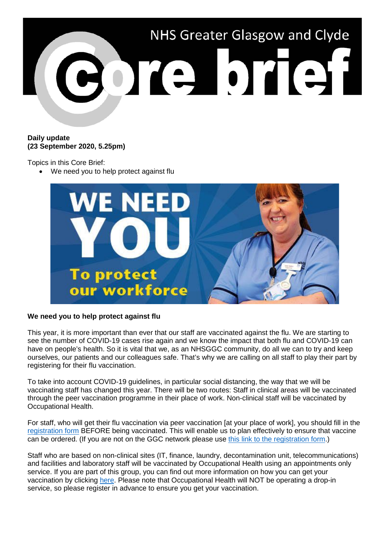

## **Daily update (23 September 2020, 5.25pm)**

Topics in this Core Brief:

We need you to help protect against flu



## **We need you to help protect against flu**

This year, it is more important than ever that our staff are vaccinated against the flu. We are starting to see the number of COVID-19 cases rise again and we know the impact that both flu and COVID-19 can have on people's health. So it is vital that we, as an NHSGGC community, do all we can to try and keep ourselves, our patients and our colleagues safe. That's why we are calling on all staff to play their part by registering for their flu vaccination.

To take into account COVID-19 guidelines, in particular social distancing, the way that we will be vaccinating staff has changed this year. There will be two routes: Staff in clinical areas will be vaccinated through the peer vaccination programme in their place of work. Non-clinical staff will be vaccinated by Occupational Health.

For staff, who will get their flu vaccination via peer vaccination [at your place of work], you should fill in the [registration form](https://ggcflu.azurewebsites.net/) BEFORE being vaccinated. This will enable us to plan effectively to ensure that vaccine can be ordered. (If you are not on the GGC network please use [this link to the registration form.](https://forms.office.com/Pages/ResponsePage.aspx?id=veDvEDCgykuAnLXmdF5JmgW9YoY5w-BDlHK7ghonYUBUM0VUN0ExSFI4UkZaRFlKREFJTlZWTDhaOSQlQCN0PWcu))

Staff who are based on non-clinical sites (IT, finance, laundry, decontamination unit, telecommunications) and facilities and laboratory staff will be vaccinated by Occupational Health using an appointments only service. If you are part of this group, you can find out more information on how you can get your vaccination by clicking [here.](https://www.nhsggc.org.uk/working-with-us/hr-connect/occupational-health/staff-flu-vaccination-programme-2020-2021/sessions-for-non-clinical-staff/) Please note that Occupational Health will NOT be operating a drop-in service, so please register in advance to ensure you get your vaccination.